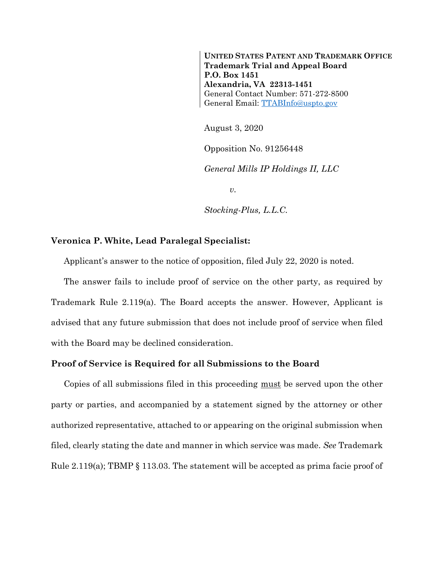**UNITED STATES PATENT AND TRADEMARK OFFICE Trademark Trial and Appeal Board P.O. Box 1451 Alexandria, VA 22313-1451** General Contact Number: 571-272-8500 General Email: [TTABInfo@uspto.gov](mailto:TTABInfo@uspto.gov)

August 3, 2020

Opposition No. 91256448

*General Mills IP Holdings II, LLC*

*v.*

*Stocking-Plus, L.L.C.*

## **Veronica P. White, Lead Paralegal Specialist:**

Applicant's answer to the notice of opposition, filed July 22, 2020 is noted.

The answer fails to include proof of service on the other party, as required by Trademark Rule 2.119(a). The Board accepts the answer. However, Applicant is advised that any future submission that does not include proof of service when filed with the Board may be declined consideration.

## **Proof of Service is Required for all Submissions to the Board**

Copies of all submissions filed in this proceeding must be served upon the other party or parties, and accompanied by a statement signed by the attorney or other authorized representative, attached to or appearing on the original submission when filed, clearly stating the date and manner in which service was made. *See* Trademark Rule 2.119(a); TBMP § 113.03. The statement will be accepted as prima facie proof of